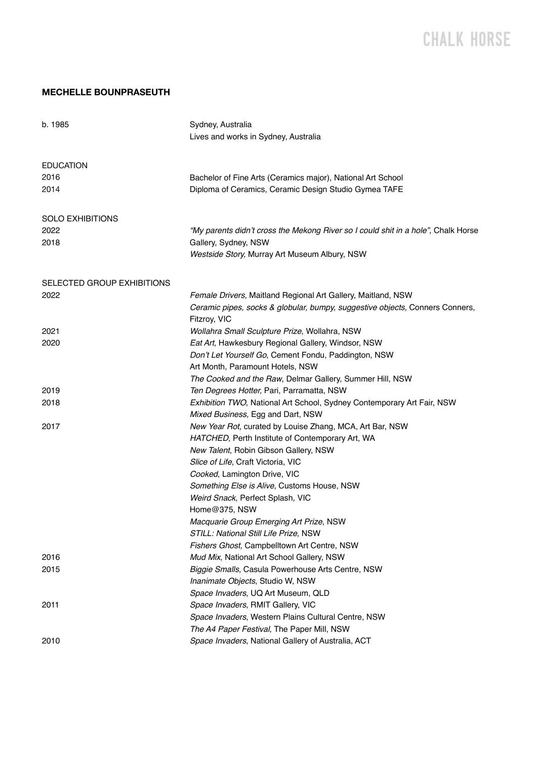## CHALK H0RSE

## **MECHELLE BOUNPRASEUTH**

| b. 1985                    | Sydney, Australia<br>Lives and works in Sydney, Australia                                    |
|----------------------------|----------------------------------------------------------------------------------------------|
| <b>EDUCATION</b>           |                                                                                              |
| 2016                       | Bachelor of Fine Arts (Ceramics major), National Art School                                  |
| 2014                       | Diploma of Ceramics, Ceramic Design Studio Gymea TAFE                                        |
| <b>SOLO EXHIBITIONS</b>    |                                                                                              |
| 2022                       | "My parents didn't cross the Mekong River so I could shit in a hole", Chalk Horse            |
| 2018                       | Gallery, Sydney, NSW                                                                         |
|                            | Westside Story, Murray Art Museum Albury, NSW                                                |
| SELECTED GROUP EXHIBITIONS |                                                                                              |
| 2022                       | Female Drivers, Maitland Regional Art Gallery, Maitland, NSW                                 |
|                            | Ceramic pipes, socks & globular, bumpy, suggestive objects, Conners Conners,<br>Fitzroy, VIC |
| 2021                       | Wollahra Small Sculpture Prize, Wollahra, NSW                                                |
| 2020                       | Eat Art, Hawkesbury Regional Gallery, Windsor, NSW                                           |
|                            | Don't Let Yourself Go, Cement Fondu, Paddington, NSW                                         |
|                            | Art Month, Paramount Hotels, NSW                                                             |
|                            | The Cooked and the Raw, Delmar Gallery, Summer Hill, NSW                                     |
| 2019                       | Ten Degrees Hotter, Pari, Parramatta, NSW                                                    |
| 2018                       | Exhibition TWO, National Art School, Sydney Contemporary Art Fair, NSW                       |
|                            | Mixed Business, Egg and Dart, NSW                                                            |
| 2017                       | New Year Rot, curated by Louise Zhang, MCA, Art Bar, NSW                                     |
|                            | HATCHED, Perth Institute of Contemporary Art, WA                                             |
|                            | New Talent, Robin Gibson Gallery, NSW                                                        |
|                            | Slice of Life, Craft Victoria, VIC                                                           |
|                            | Cooked, Lamington Drive, VIC                                                                 |
|                            | Something Else is Alive, Customs House, NSW                                                  |
|                            | Weird Snack, Perfect Splash, VIC                                                             |
|                            | Home@375, NSW                                                                                |
|                            | Macquarie Group Emerging Art Prize, NSW                                                      |
|                            | STILL: National Still Life Prize, NSW                                                        |
| 2016                       | Fishers Ghost, Campbelltown Art Centre, NSW<br>Mud Mix, National Art School Gallery, NSW     |
| 2015                       | Biggie Smalls, Casula Powerhouse Arts Centre, NSW                                            |
|                            | Inanimate Objects, Studio W, NSW                                                             |
|                            | Space Invaders, UQ Art Museum, QLD                                                           |
| 2011                       | Space Invaders, RMIT Gallery, VIC                                                            |
|                            | Space Invaders, Western Plains Cultural Centre, NSW                                          |
|                            | The A4 Paper Festival, The Paper Mill, NSW                                                   |
| 2010                       | Space Invaders, National Gallery of Australia, ACT                                           |
|                            |                                                                                              |